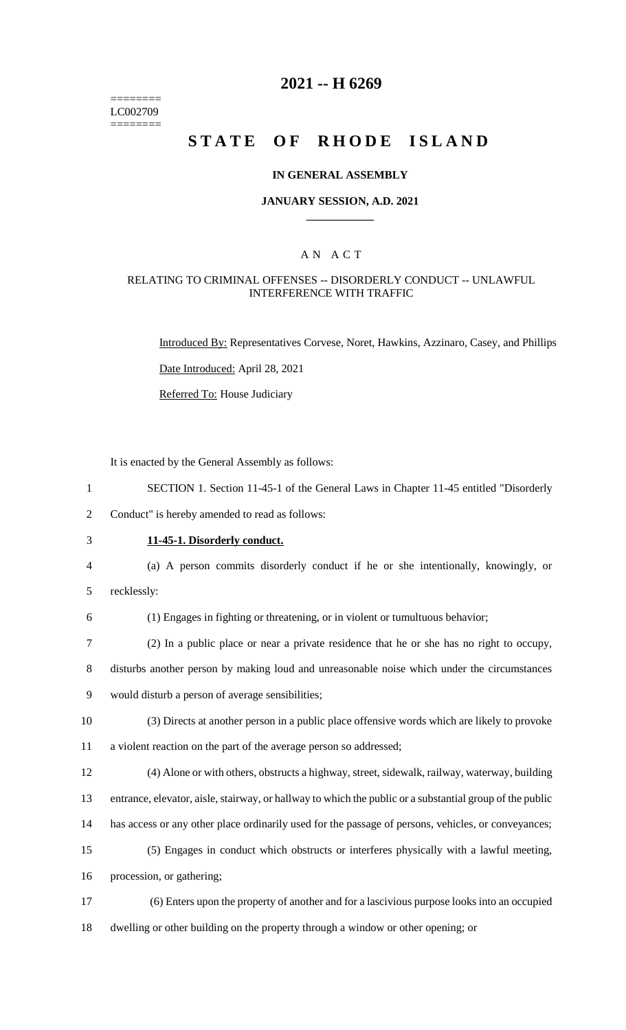======== LC002709 ========

## **2021 -- H 6269**

# **STATE OF RHODE ISLAND**

### **IN GENERAL ASSEMBLY**

### **JANUARY SESSION, A.D. 2021 \_\_\_\_\_\_\_\_\_\_\_\_**

### A N A C T

### RELATING TO CRIMINAL OFFENSES -- DISORDERLY CONDUCT -- UNLAWFUL INTERFERENCE WITH TRAFFIC

Introduced By: Representatives Corvese, Noret, Hawkins, Azzinaro, Casey, and Phillips

Date Introduced: April 28, 2021

Referred To: House Judiciary

It is enacted by the General Assembly as follows:

1 SECTION 1. Section 11-45-1 of the General Laws in Chapter 11-45 entitled "Disorderly

2 Conduct" is hereby amended to read as follows:

## 3 **11-45-1. Disorderly conduct.**

- 4 (a) A person commits disorderly conduct if he or she intentionally, knowingly, or
- 5 recklessly:
- 6 (1) Engages in fighting or threatening, or in violent or tumultuous behavior;
- 7 (2) In a public place or near a private residence that he or she has no right to occupy,

8 disturbs another person by making loud and unreasonable noise which under the circumstances 9 would disturb a person of average sensibilities;

- 10 (3) Directs at another person in a public place offensive words which are likely to provoke 11 a violent reaction on the part of the average person so addressed;
- 12 (4) Alone or with others, obstructs a highway, street, sidewalk, railway, waterway, building

13 entrance, elevator, aisle, stairway, or hallway to which the public or a substantial group of the public

- 14 has access or any other place ordinarily used for the passage of persons, vehicles, or conveyances;
- 15 (5) Engages in conduct which obstructs or interferes physically with a lawful meeting,

16 procession, or gathering;

17 (6) Enters upon the property of another and for a lascivious purpose looks into an occupied 18 dwelling or other building on the property through a window or other opening; or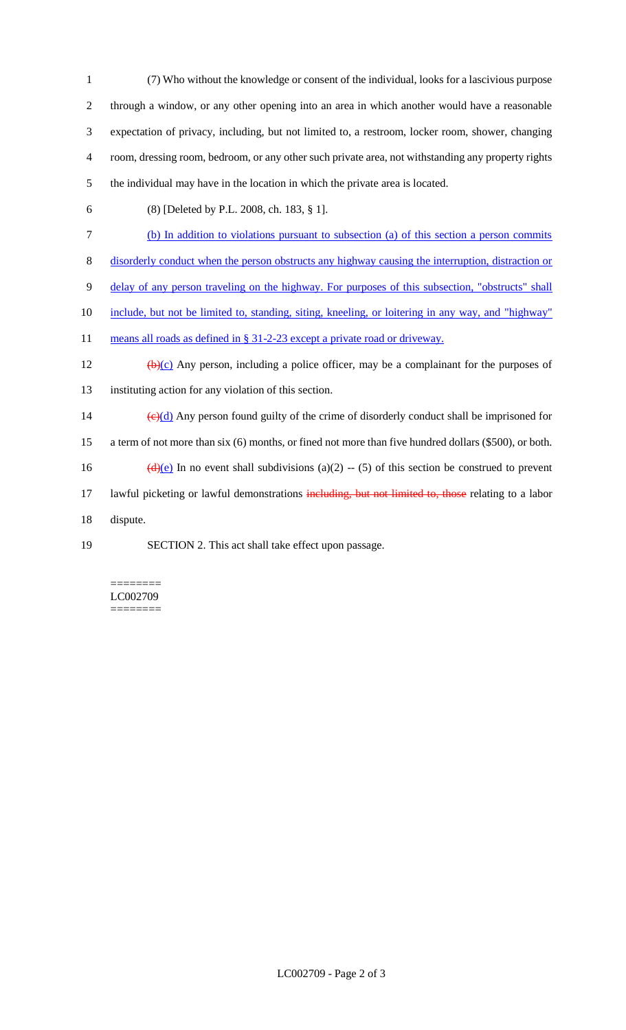(7) Who without the knowledge or consent of the individual, looks for a lascivious purpose through a window, or any other opening into an area in which another would have a reasonable expectation of privacy, including, but not limited to, a restroom, locker room, shower, changing room, dressing room, bedroom, or any other such private area, not withstanding any property rights the individual may have in the location in which the private area is located.

(8) [Deleted by P.L. 2008, ch. 183, § 1].

(b) In addition to violations pursuant to subsection (a) of this section a person commits

disorderly conduct when the person obstructs any highway causing the interruption, distraction or

delay of any person traveling on the highway. For purposes of this subsection, "obstructs" shall

include, but not be limited to, standing, siting, kneeling, or loitering in any way, and "highway"

11 means all roads as defined in § 31-2-23 except a private road or driveway.

12  $(b)(c)$  Any person, including a police officer, may be a complainant for the purposes of instituting action for any violation of this section.

14  $\left(\frac{e}{d} \right)$  Any person found guilty of the crime of disorderly conduct shall be imprisoned for a term of not more than six (6) months, or fined not more than five hundred dollars (\$500), or both.

16 (d)(e) In no event shall subdivisions (a)(2) -- (5) of this section be construed to prevent

17 lawful picketing or lawful demonstrations including, but not limited to, those relating to a labor

dispute.

SECTION 2. This act shall take effect upon passage.

======== LC002709 ========